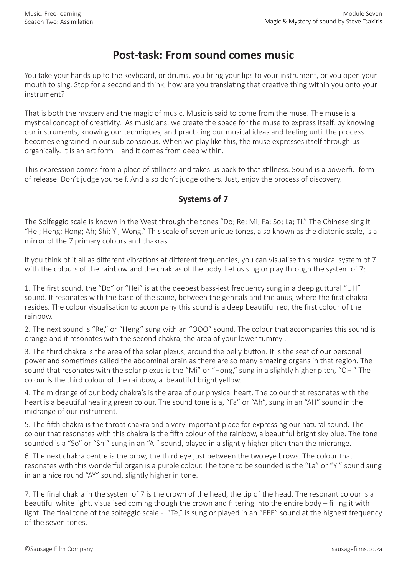## **Post-task: From sound comes music**

You take your hands up to the keyboard, or drums, you bring your lips to your instrument, or you open your mouth to sing. Stop for a second and think, how are you translating that creative thing within you onto your instrument?

That is both the mystery and the magic of music. Music is said to come from the muse. The muse is a mystical concept of creativity. As musicians, we create the space for the muse to express itself, by knowing our instruments, knowing our techniques, and practicing our musical ideas and feeling until the process becomes engrained in our sub-conscious. When we play like this, the muse expresses itself through us organically. It is an art form – and it comes from deep within.

This expression comes from a place of stillness and takes us back to that stillness. Sound is a powerful form of release. Don't judge yourself. And also don't judge others. Just, enjoy the process of discovery.

## **Systems of 7**

The Solfeggio scale is known in the West through the tones "Do; Re; Mi; Fa; So; La; Ti." The Chinese sing it "Hei; Heng; Hong; Ah; Shi; Yi; Wong." This scale of seven unique tones, also known as the diatonic scale, is a mirror of the 7 primary colours and chakras.

If you think of it all as different vibrations at different frequencies, you can visualise this musical system of 7 with the colours of the rainbow and the chakras of the body. Let us sing or play through the system of 7:

1. The first sound, the "Do" or "Hei" is at the deepest bass-iest frequency sung in a deep guttural "UH" sound. It resonates with the base of the spine, between the genitals and the anus, where the first chakra resides. The colour visualisation to accompany this sound is a deep beautiful red, the first colour of the rainbow.

2. The next sound is "Re," or "Heng" sung with an "OOO" sound. The colour that accompanies this sound is orange and it resonates with the second chakra, the area of your lower tummy .

3. The third chakra is the area of the solar plexus, around the belly button. It is the seat of our personal power and sometimes called the abdominal brain as there are so many amazing organs in that region. The sound that resonates with the solar plexus is the "Mi" or "Hong," sung in a slightly higher pitch, "OH." The colour is the third colour of the rainbow, a beautiful bright yellow.

4. The midrange of our body chakra's is the area of our physical heart. The colour that resonates with the heart is a beautiful healing green colour. The sound tone is a, "Fa" or "Ah", sung in an "AH" sound in the midrange of our instrument.

5. The fifth chakra is the throat chakra and a very important place for expressing our natural sound. The colour that resonates with this chakra is the fifth colour of the rainbow, a beautiful bright sky blue. The tone sounded is a "So" or "Shi" sung in an "AI" sound, played in a slightly higher pitch than the midrange.

6. The next chakra centre is the brow, the third eye just between the two eye brows. The colour that resonates with this wonderful organ is a purple colour. The tone to be sounded is the "La" or "Yi" sound sung in an a nice round "AY" sound, slightly higher in tone.

7. The final chakra in the system of 7 is the crown of the head, the tip of the head. The resonant colour is a beautiful white light, visualised coming though the crown and filtering into the entire body – filling it with light. The final tone of the solfeggio scale - "Te," is sung or played in an "EEE" sound at the highest frequency of the seven tones.